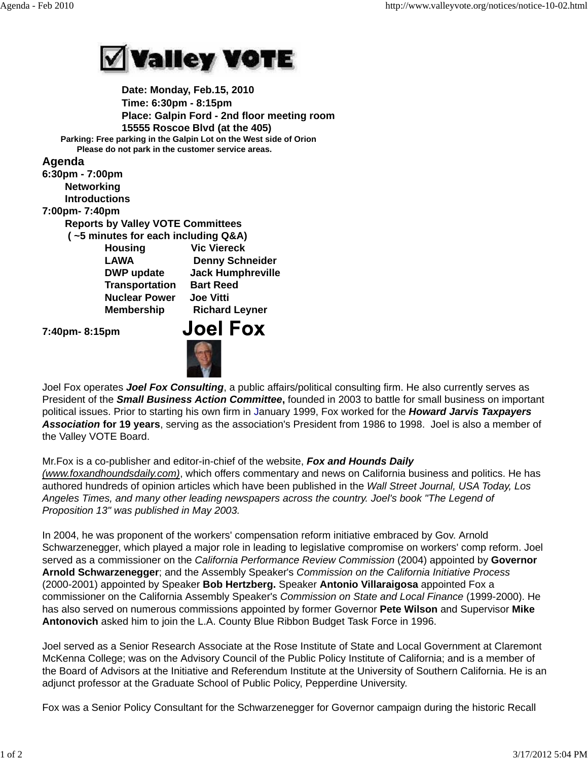

 **Date: Monday, Feb.15, 2010 Time: 6:30pm - 8:15pm Place: Galpin Ford - 2nd floor meeting room 15555 Roscoe Blvd (at the 405) Parking: Free parking in the Galpin Lot on the West side of Orion Please do not park in the customer service areas. Agenda 6:30pm - 7:00pm Networking Introductions**

| iliu vuuvuvilo                           |                          |
|------------------------------------------|--------------------------|
| 7:00pm-7:40pm                            |                          |
| <b>Reports by Valley VOTE Committees</b> |                          |
| (~5 minutes for each including Q&A)      |                          |
| <b>Housing</b>                           | <b>Vic Viereck</b>       |
| <b>LAWA</b>                              | <b>Denny Schneider</b>   |
| <b>DWP</b> update                        | <b>Jack Humphreville</b> |
| <b>Transportation</b>                    | <b>Bart Reed</b>         |
| <b>Nuclear Power</b>                     | <b>Joe Vitti</b>         |
| <b>Membership</b>                        | <b>Richard Leyner</b>    |
|                                          | ▪                        |

**7:40pm- 8:15pm** 



Joel Fox operates *Joel Fox Consulting*, a public affairs/political consulting firm. He also currently serves as President of the *Small Business Action Committee***,** founded in 2003 to battle for small business on important political issues. Prior to starting his own firm in January 1999, Fox worked for the *Howard Jarvis Taxpayers Association* **for 19 years**, serving as the association's President from 1986 to 1998. Joel is also a member of the Valley VOTE Board.

Mr.Fox is a co-publisher and editor-in-chief of the website, *Fox and Hounds Daily (www.foxandhoundsdaily.com)*, which offers commentary and news on California business and politics. He has authored hundreds of opinion articles which have been published in the *Wall Street Journal, USA Today, Los Angeles Times, and many other leading newspapers across the country. Joel's book "The Legend of Proposition 13" was published in May 2003.*

In 2004, he was proponent of the workers' compensation reform initiative embraced by Gov. Arnold Schwarzenegger, which played a major role in leading to legislative compromise on workers' comp reform. Joel served as a commissioner on the *California Performance Review Commission* (2004) appointed by **Governor Arnold Schwarzenegger**; and the Assembly Speaker's *Commission on the California Initiative Process* (2000-2001) appointed by Speaker **Bob Hertzberg.** Speaker **Antonio Villaraigosa** appointed Fox a commissioner on the California Assembly Speaker's *Commission on State and Local Finance* (1999-2000). He has also served on numerous commissions appointed by former Governor **Pete Wilson** and Supervisor **Mike Antonovich** asked him to join the L.A. County Blue Ribbon Budget Task Force in 1996.

Joel served as a Senior Research Associate at the Rose Institute of State and Local Government at Claremont McKenna College; was on the Advisory Council of the Public Policy Institute of California; and is a member of the Board of Advisors at the Initiative and Referendum Institute at the University of Southern California. He is an adjunct professor at the Graduate School of Public Policy, Pepperdine University.

Fox was a Senior Policy Consultant for the Schwarzenegger for Governor campaign during the historic Recall